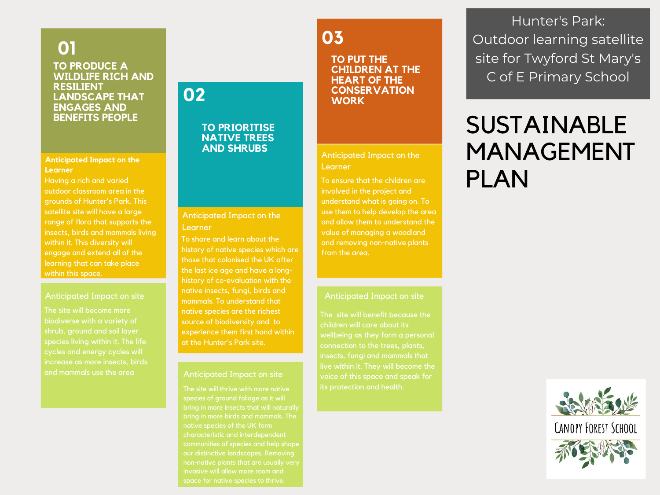#### **TO PRODUCE A WILDLIFE RICH AND RESILIENT LANDSCAPE THAT ENGAGES AND BENEFITS PEOPLE 01**

#### **Anticipated Impact on the Learner**

Having a rich and varied outdoor classroom area in the grounds of Hunter's Park. This satellite site will have a large range of flora that supports the insects, birds and mammals living within it. This diversity will engage and extend all of the learning that can take place within this space.

#### Anticipated Impact on site

biodiverse with a variety of shrub, ground and soil layer increase as more insects, birds and mammals use the area

### **03**

**TO PUT THE CHILDREN AT THE HEART OF THE CONSERVATION WORK**

#### Anticipated Impact on the Learner

To ensure that the children are involved in the project and understand what is going on. To use them to help develop the area and allow them to understand the value of managing a woodland and removing non-native plants from the area.

#### Anticipated Impact on site

The site will benefit because the children will care about its voice of this space and speak for

Hunter's Park: Outdoor learning satellite site for Twyford St Mary's C of E Primary School

### SUSTAINABLE MANAGEMENT PLAN



#### To share and learn about the history of native species which are those that colonised the UK after the last ice age and have a long-

Anticipated Impact on the

**02**

Learner

history of co-evaluation with the native insects, fungi, birds and mammals. To understand that native species are the richest source of biodiversity and to experience them first hand within at the Hunter's Park site.

**TO PRIORITISE NATIVE TREES AND SHRUBS**

#### Anticipated Impact on site

bring in more insects that will naturally bring in more birds and mammals. The native species of the UK form characteristic and interdependent our distinctive landscapes. Removing invasive will allow more room and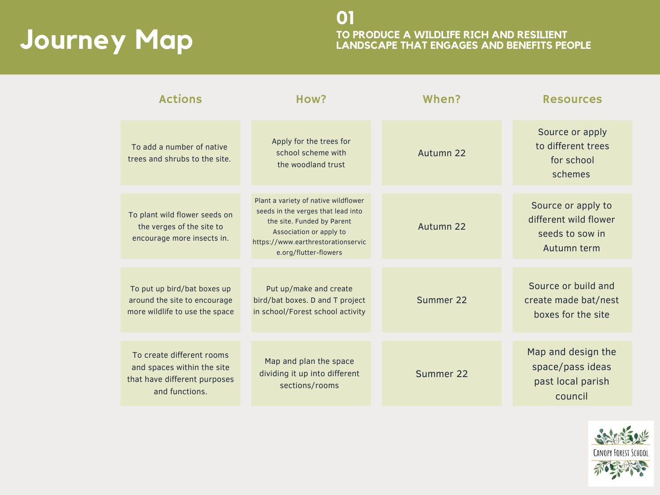# **Journey Map**

**TO PRODUCE A WILDLIFE RICH AND RESILIENT LANDSCAPE THAT ENGAGES AND BENEFITS PEOPLE 01**

| <b>Actions</b>                                                                                            | How?                                                                                                                                                                                               | When?     | <b>Resources</b>                                                              |
|-----------------------------------------------------------------------------------------------------------|----------------------------------------------------------------------------------------------------------------------------------------------------------------------------------------------------|-----------|-------------------------------------------------------------------------------|
| To add a number of native<br>trees and shrubs to the site.                                                | Apply for the trees for<br>school scheme with<br>the woodland trust                                                                                                                                | Autumn 22 | Source or apply<br>to different trees<br>for school<br>schemes                |
| To plant wild flower seeds on<br>the verges of the site to<br>encourage more insects in.                  | Plant a variety of native wildflower<br>seeds in the verges that lead into<br>the site. Funded by Parent<br>Association or apply to<br>https://www.earthrestorationservic<br>e.org/flutter-flowers | Autumn 22 | Source or apply to<br>different wild flower<br>seeds to sow in<br>Autumn term |
| To put up bird/bat boxes up<br>around the site to encourage<br>more wildlife to use the space             | Put up/make and create<br>bird/bat boxes. D and T project<br>in school/Forest school activity                                                                                                      | Summer 22 | Source or build and<br>create made bat/nest<br>boxes for the site             |
| To create different rooms<br>and spaces within the site<br>that have different purposes<br>and functions. | Map and plan the space<br>dividing it up into different<br>sections/rooms                                                                                                                          | Summer 22 | Map and design the<br>space/pass ideas<br>past local parish<br>council        |

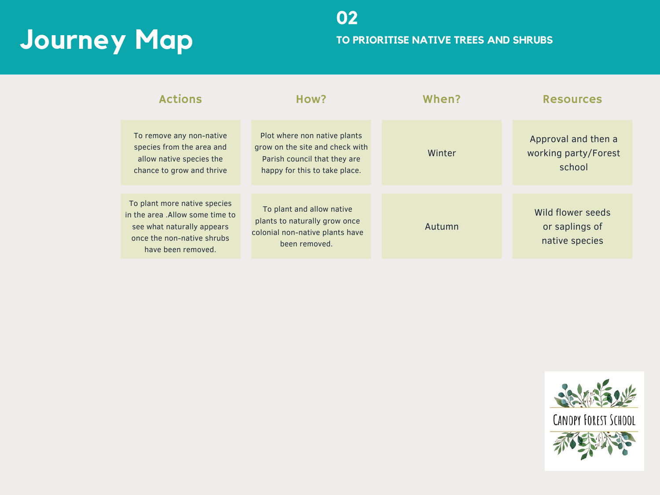## **Journey Map**

| <b>Actions</b>                                                                                                                                     | How?                                                                                                                             | When?  | <b>Resources</b>                                      |
|----------------------------------------------------------------------------------------------------------------------------------------------------|----------------------------------------------------------------------------------------------------------------------------------|--------|-------------------------------------------------------|
| To remove any non-native<br>species from the area and<br>allow native species the<br>chance to grow and thrive                                     | Plot where non native plants<br>grow on the site and check with<br>Parish council that they are<br>happy for this to take place. | Winter | Approval and then a<br>working party/Forest<br>school |
| To plant more native species<br>in the area . Allow some time to<br>see what naturally appears<br>once the non-native shrubs<br>have been removed. | To plant and allow native<br>plants to naturally grow once<br>colonial non-native plants have<br>been removed.                   | Autumn | Wild flower seeds<br>or saplings of<br>native species |